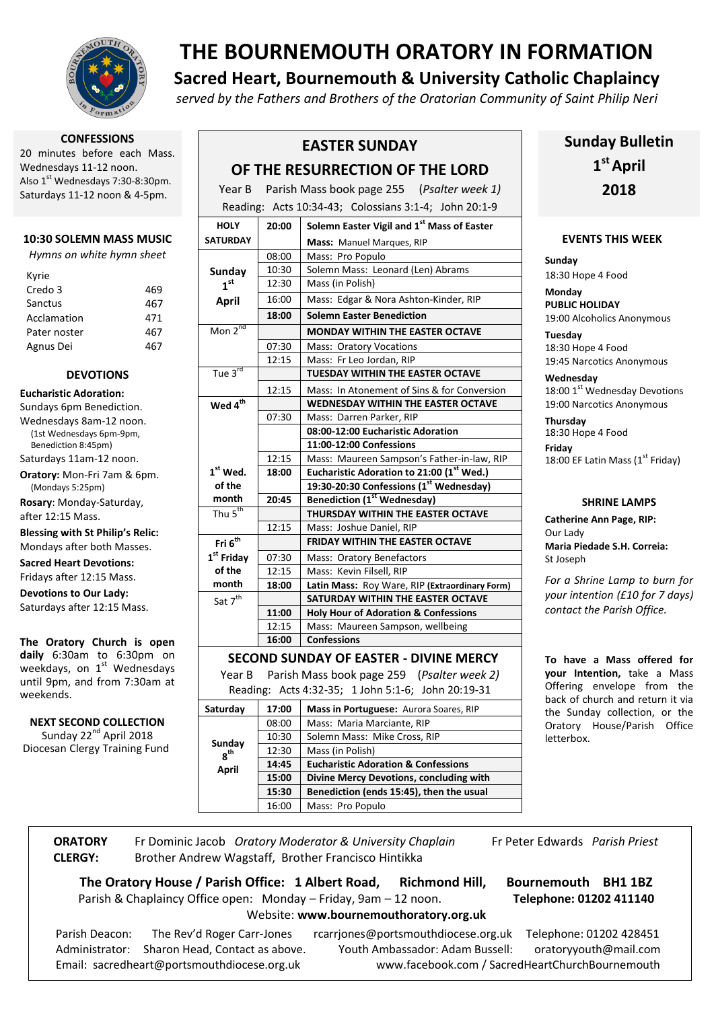

**CONFESSIONS**

20 minutes before each Mass. Wednesdays 11-12 noon. Also 1<sup>st</sup> Wednesdays 7:30-8:30pm. Saturdays 11-12 noon & 4-5pm.

#### **10:30 SOLEMN MASS MUSIC**

*Hymns on white hymn sheet*

| Kyrie        |     |
|--------------|-----|
| Credo 3      | 469 |
| Sanctus      | 467 |
| Acclamation  | 471 |
| Pater noster | 467 |
| Agnus Dei    | 467 |

#### **DEVOTIONS**

- **Eucharistic Adoration:** Sundays 6pm Benediction. Wednesdays 8am-12 noon. (1st Wednesdays 6pm-9pm, Benediction 8:45pm) Saturdays 11am-12 noon.
- **Oratory:** Mon-Fri 7am & 6pm. (Mondays 5:25pm)

**Rosary**: Monday-Saturday, after 12:15 Mass.

#### **Blessing with St Philip's Relic:** Mondays after both Masses.

**Sacred Heart Devotions:** Fridays after 12:15 Mass.

**Devotions to Our Lady:** Saturdays after 12:15 Mass.

**The Oratory Church is open daily** 6:30am to 6:30pm on weekdays, on 1st Wednesdays until 9pm, and from 7:30am at weekends.

**NEXT SECOND COLLECTION**

Sunday 22<sup>nd</sup> April 2018 Diocesan Clergy Training Fund

# **THE BOURNEMOUTH ORATORY IN FORMATION**

# **Sacred Heart, Bournemouth & University Catholic Chaplaincy**

*served by the Fathers and Brothers of the Oratorian Community of Saint Philip Neri*

## **EASTER SUNDAY**

### **OF THE RESURRECTION OF THE LORD**

Year B Parish Mass book page 255 (*Psalter week 1)*  $R = \frac{11}{3}$ 

|                                               |       | Reading: $AC(S, 10.34-43, 1000s)$ and $S(1-4, 10000s)$ |  |  |
|-----------------------------------------------|-------|--------------------------------------------------------|--|--|
| <b>HOLY</b>                                   | 20:00 | Solemn Easter Vigil and 1 <sup>st</sup> Mass of Easter |  |  |
| <b>SATURDAY</b>                               |       | Mass: Manuel Marques, RIP                              |  |  |
|                                               | 08:00 | Mass: Pro Populo                                       |  |  |
| Sunday                                        | 10:30 | Solemn Mass: Leonard (Len) Abrams                      |  |  |
| 1 <sup>st</sup>                               | 12:30 | Mass (in Polish)                                       |  |  |
| <b>April</b>                                  | 16:00 | Mass: Edgar & Nora Ashton-Kinder, RIP                  |  |  |
|                                               | 18:00 | <b>Solemn Easter Benediction</b>                       |  |  |
| $M$ on $2^{nd}$                               |       | <b>MONDAY WITHIN THE EASTER OCTAVE</b>                 |  |  |
|                                               | 07:30 | <b>Mass: Oratory Vocations</b>                         |  |  |
|                                               | 12:15 | Mass: Fr Leo Jordan, RIP                               |  |  |
| Tue $3^{rd}$                                  |       | <b>TUESDAY WITHIN THE EASTER OCTAVE</b>                |  |  |
|                                               | 12:15 | Mass: In Atonement of Sins & for Conversion            |  |  |
| Wed 4 <sup>th</sup>                           |       | <b>WEDNESDAY WITHIN THE EASTER OCTAVE</b>              |  |  |
|                                               | 07:30 | Mass: Darren Parker, RIP                               |  |  |
|                                               |       | 08:00-12:00 Eucharistic Adoration                      |  |  |
|                                               |       | 11:00-12:00 Confessions                                |  |  |
|                                               | 12:15 | Mass: Maureen Sampson's Father-in-law, RIP             |  |  |
| $1st$ Wed.                                    | 18:00 | Eucharistic Adoration to 21:00 (1st Wed.)              |  |  |
| of the                                        |       | 19:30-20:30 Confessions (1st Wednesday)                |  |  |
| month                                         | 20:45 | <b>Benediction (1st Wednesday)</b>                     |  |  |
| Thu $5^{th}$                                  |       | THURSDAY WITHIN THE EASTER OCTAVE                      |  |  |
|                                               | 12:15 | Mass: Joshue Daniel, RIP                               |  |  |
| Fri $6^{th}$                                  |       | <b>FRIDAY WITHIN THE EASTER OCTAVE</b>                 |  |  |
| 1 <sup>st</sup> Friday                        | 07:30 | Mass: Oratory Benefactors                              |  |  |
| of the                                        | 12:15 | Mass: Kevin Filsell, RIP                               |  |  |
| month                                         | 18:00 | Latin Mass: Roy Ware, RIP (Extraordinary Form)         |  |  |
| Sat 7 <sup>th</sup>                           |       | <b>SATURDAY WITHIN THE EASTER OCTAVE</b>               |  |  |
|                                               | 11:00 | <b>Holy Hour of Adoration &amp; Confessions</b>        |  |  |
|                                               | 12:15 | Mass: Maureen Sampson, wellbeing                       |  |  |
|                                               | 16:00 | <b>Confessions</b>                                     |  |  |
| <b>SECOND SUNDAY OF EASTER - DIVINE MERCY</b> |       |                                                        |  |  |

Year B Parish Mass book page 259 (*Psalter week 2)*

Reading: Acts 4:32-35; 1 John 5:1-6; John 20:19-31

| Saturday           | 17:00 | Mass in Portuguese: Aurora Soares, RIP         |
|--------------------|-------|------------------------------------------------|
| Sunday<br>$g^{th}$ | 08:00 | Mass: Maria Marciante, RIP                     |
|                    | 10:30 | Solemn Mass: Mike Cross, RIP                   |
|                    | 12:30 | Mass (in Polish)                               |
| April              | 14:45 | <b>Eucharistic Adoration &amp; Confessions</b> |
|                    | 15:00 | Divine Mercy Devotions, concluding with        |
|                    | 15:30 | Benediction (ends 15:45), then the usual       |
|                    | 16:00 | Mass: Pro Populo                               |

# **Sunday Bulletin 1 st April 2018**

#### **EVENTS THIS WEEK**

**Sunday** 18:30 Hope 4 Food

**Monday PUBLIC HOLIDAY** 19:00 Alcoholics Anonymous

**Tuesday** 18:30 Hope 4 Food 19:45 Narcotics Anonymous

**Wednesday** 18:00 1st Wednesday Devotions 19:00 Narcotics Anonymous

**Thursday** 18:30 Hope 4 Food **Friday**

18:00 EF Latin Mass  $(1<sup>st</sup> Fridav)$ 

#### **SHRINE LAMPS**

**Catherine Ann Page, RIP:** Our Lady **Maria Piedade S.H. Correia:** St Joseph

*For a Shrine Lamp to burn for your intention (£10 for 7 days) contact the Parish Office.*

**To have a Mass offered for your Intention,** take a Mass Offering envelope from the back of church and return it via the Sunday collection, or the Oratory House/Parish Office letterbox.

 **ORATORY CLERGY:** Fr Dominic Jacob *Oratory Moderator & University Chaplain* Brother Andrew Wagstaff, Brother Francisco Hintikka

Fr Peter Edwards *Parish Priest*

**The Oratory House / Parish Office: 1 Albert Road, Richmond Hill, Bournemouth BH1 1BZ** Parish & Chaplaincy Office open: Monday – Friday, 9am – 12 noon. **Telephone: 01202 411140** 

#### Website: **www.bournemouthoratory.org.uk**

Parish Deacon: The Rev'd Roger Carr-Jones rcarriones@portsmouthdiocese.org.uk Telephone: 01202 428451 Administrator: Sharon Head, Contact as above. Youth Ambassador: Adam Bussell: oratoryyouth@mail.com Email: [sacredheart@portsmouthdiocese.org.uk](mailto:sacredheart@portsmouthdiocese.org.uk) [www.facebook.com](http://www.facebook.com/) / SacredHeartChurchBournemouth